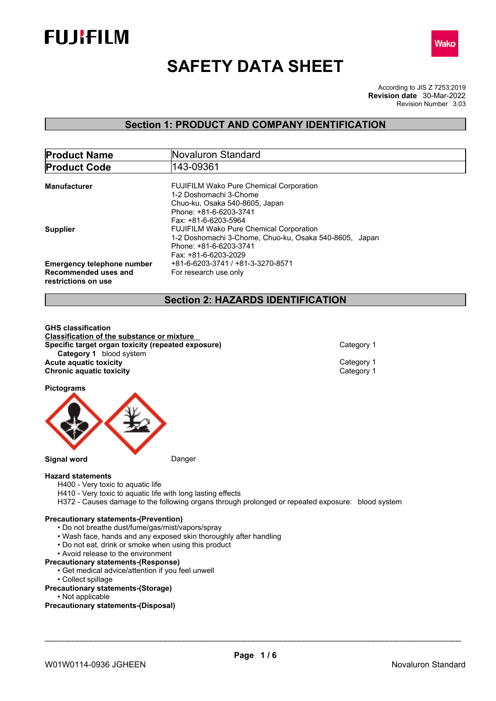



# **SAFETY DATA SHEET**

According to JIS Z 7253:2019 Revision Number 3.03 **Revision date** 30-Mar-2022

# **Section 1: PRODUCT AND COMPANY IDENTIFICATION**

| <b>Product Name</b>                         | Novaluron Standard                                                       |  |  |  |
|---------------------------------------------|--------------------------------------------------------------------------|--|--|--|
| <b>Product Code</b>                         | 143-09361                                                                |  |  |  |
|                                             |                                                                          |  |  |  |
| <b>Manufacturer</b>                         | <b>FUJIFILM Wako Pure Chemical Corporation</b><br>1-2 Doshomachi 3-Chome |  |  |  |
|                                             | Chuo-ku, Osaka 540-8605, Japan                                           |  |  |  |
|                                             | Phone: +81-6-6203-3741                                                   |  |  |  |
|                                             | Fax: +81-6-6203-5964                                                     |  |  |  |
| <b>Supplier</b>                             | <b>FUJIFILM Wako Pure Chemical Corporation</b>                           |  |  |  |
|                                             | 1-2 Doshomachi 3-Chome, Chuo-ku, Osaka 540-8605, Japan                   |  |  |  |
|                                             | Phone: +81-6-6203-3741                                                   |  |  |  |
|                                             | Fax: +81-6-6203-2029                                                     |  |  |  |
| <b>Emergency telephone number</b>           | +81-6-6203-3741 / +81-3-3270-8571                                        |  |  |  |
| Recommended uses and<br>restrictions on use | For research use only                                                    |  |  |  |

# **Section 2: HAZARDS IDENTIFICATION**

**GHS classification Classification of the substance or mixture Specific target organ toxicity (repeated exposure)** Category 1 **Category 1** blood system **Acute aquatic toxicity**<br> **Category 1**<br> **Chronic aquatic toxicity**<br>
Category 1 **Chronic aquatic toxicity** 

**Pictograms**



**Signal word** Danger

#### **Hazard statements**

- H400 Very toxic to aquatic life
- H410 Very toxic to aquatic life with long lasting effects
- H372 Causes damage to the following organs through prolonged or repeated exposure: blood system

#### **Precautionary statements-(Prevention)**

- Do not breathe dust/fume/gas/mist/vapors/spray
- Wash face, hands and any exposed skin thoroughly after handling
- Do not eat, drink or smoke when using this product
- Avoid release to the environment

#### **Precautionary statements-(Response)**

- Get medical advice/attention if you feel unwell
- Collect spillage
- **Precautionary statements-(Storage)**
	- Not applicable

**Precautionary statements-(Disposal)**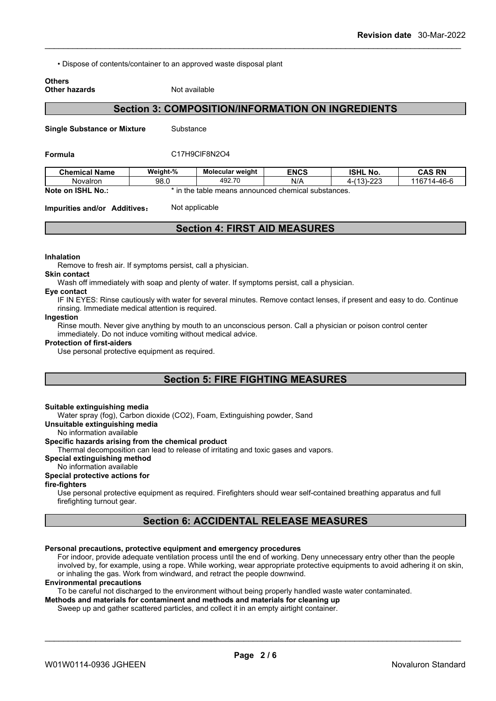• Dispose of contents/container to an approved waste disposal plant

# **Others**

# **Other hazards** Not available

# **Section 3: COMPOSITION/INFORMATION ON INGREDIENTS**

**Single Substance or Mixture** Substance

#### **Formula** C17H9ClF8N2O4

| <b>Chemical Name</b>        | Weight-%   | Molecular weight                             | <b>ENCS</b> | <b>ISHL</b><br>No.          | <b>CAS RN</b>     |
|-----------------------------|------------|----------------------------------------------|-------------|-----------------------------|-------------------|
| Novalron                    | 98.0       | 492.70                                       | N/A         | nnn<br>140<br>-31-<br>ں ے ے | 14-46-6<br>116714 |
| <b>ISHL No.:</b><br>Note on | -in<br>the | : table means announced chemical substances. |             |                             |                   |

**Impurities and/or Additives:** Not applicable

# **Section 4: FIRST AID MEASURES**

#### **Inhalation**

Remove to fresh air. If symptoms persist, call a physician.

#### **Skin contact**

Wash off immediately with soap and plenty of water. If symptoms persist, call a physician.

#### **Eye contact**

IF IN EYES: Rinse cautiously with water for several minutes. Remove contact lenses, if present and easy to do. Continue rinsing. Immediate medical attention is required.

#### **Ingestion**

Rinse mouth. Never give anything by mouth to an unconscious person. Call a physician or poison control center immediately. Do not induce vomiting without medical advice.

#### **Protection of first-aiders**

Use personal protective equipment as required.

# **Section 5: FIRE FIGHTING MEASURES**

#### **Suitable extinguishing media**

Water spray (fog), Carbon dioxide (CO2), Foam, Extinguishing powder, Sand

#### **Unsuitable extinguishing media**

No information available

### **Specific hazards arising from the chemical product**

Thermal decomposition can lead to release of irritating and toxic gases and vapors.

### **Special extinguishing method**

# No information available

# **Special protective actions for**

**fire-fighters**

Use personal protective equipment as required.Firefighters should wear self-contained breathing apparatus and full firefighting turnout gear.

# **Section 6: ACCIDENTAL RELEASE MEASURES**

#### **Personal precautions, protective equipment and emergency procedures**

For indoor, provide adequate ventilation process until the end of working. Deny unnecessary entry other than the people involved by, for example, using a rope. While working, wear appropriate protective equipments to avoid adhering it on skin, or inhaling the gas. Work from windward, and retract the people downwind.

#### **Environmental precautions**

To be careful not discharged to the environment without being properly handled waste water contaminated.

## **Methods and materials for contaminent and methods and materials for cleaning up**

Sweep up and gather scattered particles, and collect it in an empty airtight container.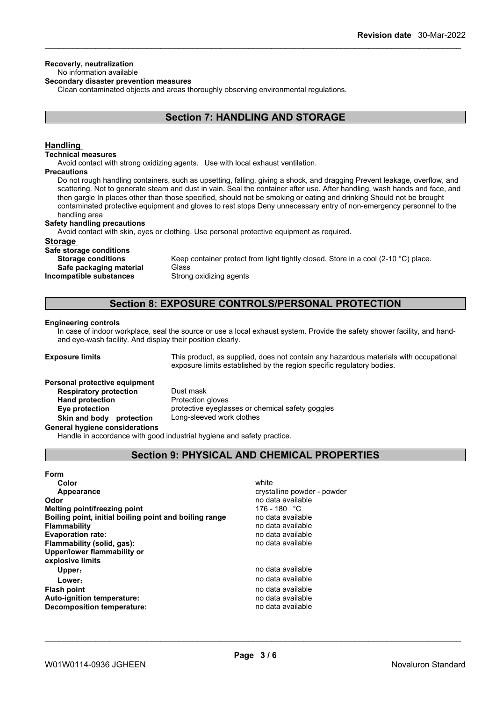#### **Recoverly, neutralization** No information available

#### **Secondary disaster prevention measures**

Clean contaminated objects and areas thoroughly observing environmental regulations.

# **Section 7: HANDLING AND STORAGE**

# **Handling**

#### **Technical measures**

Avoid contact with strong oxidizing agents. Use with local exhaust ventilation.

#### **Precautions**

Do not rough handling containers, such as upsetting, falling, giving a shock, and dragging Prevent leakage, overflow, and scattering. Not to generate steam and dust in vain. Seal the container after use. After handling, wash hands and face, and then gargle In places other than those specified, should not be smoking or eating and drinking Should not be brought contaminated protective equipment and gloves to rest stops Deny unnecessary entry of non-emergency personnel to the handling area

#### **Safety handling precautions**

Avoid contact with skin, eyes or clothing. Use personal protective equipment as required.

#### **Storage**

**Safe storage conditions**

**Safe** packaging material **Incompatible substances** Strong oxidizing agents

**Storage conditions** Keep container protect from light tightly closed. Store in a cool (2-10 °C) place.<br>Safe nackaging material Glass

# **Section 8: EXPOSURE CONTROLS/PERSONAL PROTECTION**

#### **Engineering controls**

In case of indoor workplace, seal the source or use a local exhaust system. Provide the safety shower facility, and handand eye-wash facility. And display their position clearly.

**Exposure limits** This product, as supplied, does not contain any hazardous materials with occupational exposure limits established by the region specific regulatory bodies.

#### **Personal protective equipment**

**Respiratory protection** Dust mask **Hand protection** Protection gloves **Eye protection** protective eyeglasses or chemical safety goggles **Skin and body protection** Long-sleeved work clothes

**General hygiene considerations**

Handle in accordance with good industrial hygiene and safety practice.

# **Section 9: PHYSICAL AND CHEMICAL PROPERTIES**

| Form                                                   |                             |
|--------------------------------------------------------|-----------------------------|
| Color                                                  | white                       |
| Appearance                                             | crystalline powder - powder |
| Odor                                                   | no data available           |
| Melting point/freezing point                           | 176 - 180 °C                |
| Boiling point, initial boiling point and boiling range | no data available           |
| <b>Flammability</b>                                    | no data available           |
| <b>Evaporation rate:</b>                               | no data available           |
| Flammability (solid, gas):                             | no data available           |
| Upper/lower flammability or                            |                             |
| explosive limits                                       |                             |
| Upper:                                                 | no data available           |
| Lower:                                                 | no data available           |
| <b>Flash point</b>                                     | no data available           |
| <b>Auto-ignition temperature:</b>                      | no data available           |
| Decomposition temperature:                             | no data available           |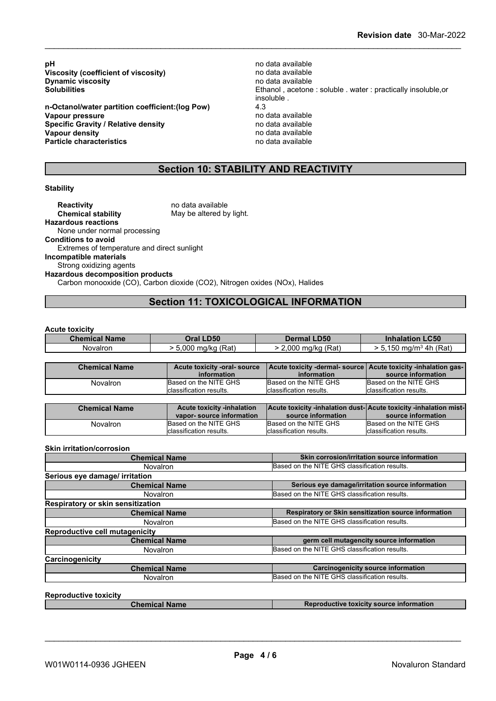**pH** no data available<br> **Viscosity (coefficient of viscosity)** entity and data available **Viscosity** (coefficient of viscosity) **Dynamic viscosity**<br> **Solubilities**<br> **Solubilities**<br> **Solubilities** 

**n-Octanol/water partition coefficient:(log Pow)** 4.3 **Vapour pressure**<br> **Specific Gravity / Relative density**<br> **Specific Gravity / Relative density**<br> **Property** and the notata available **Specific Gravity / Relative density Vapour density**<br> **Particle characteristics**<br> **Particle characteristics**<br> **Particle characteristics Particle characteristics** 

Ethanol, acetone : soluble . water : practically insoluble,or insoluble .

# **Section 10: STABILITY AND REACTIVITY**

#### **Stability**

**Reactivity** no data available<br> **Chemical stability** May be altered by May be altered by light. **Hazardous reactions** None under normal processing **Conditions to avoid** Extremes of temperature and direct sunlight **Incompatible materials** Strong oxidizing agents **Hazardous decomposition products** Carbon monooxide (CO), Carbon dioxide (CO2), Nitrogen oxides (NOx), Halides

# **Section 11: TOXICOLOGICAL INFORMATION**

#### **Acute toxicity**

| <b>Chemical Name</b> | <b>D50</b><br>)ral                                  | <b>_D50</b><br>Dermal   | <b>.C50</b><br>ınna<br>нэн |
|----------------------|-----------------------------------------------------|-------------------------|----------------------------|
| <b>Novalron</b>      | $\overline{\phantom{0}}$<br>$\sim$<br>ˈRat<br>ma/ko | (Rat)<br>nnn<br>∕ ma∕ko | (Rat)<br>-4h<br>ั ma/m∘ .  |

| <b>Chemical Name</b> | Acute toxicity -oral- source | Acute toxicity -dermal- source Acute toxicity -inhalation gas- |                          |
|----------------------|------------------------------|----------------------------------------------------------------|--------------------------|
|                      | information                  | information                                                    | source information       |
| Novalron             | Based on the NITE GHS        | Based on the NITE GHS                                          | Based on the NITE GHS    |
|                      | classification results.      | classification results.                                        | Iclassification results. |

| <b>Chemical Name</b> | <b>Acute toxicity -inhalation</b> |                          | Acute toxicity -inhalation dust-  Acute toxicity -inhalation mist- |
|----------------------|-----------------------------------|--------------------------|--------------------------------------------------------------------|
|                      | vapor-source information          | source information       | source information                                                 |
| Novalron             | Based on the NITE GHS             | Based on the NITE GHS    | Based on the NITE GHS                                              |
|                      | Iclassification results.          | Iclassification results. | Iclassification results.                                           |

#### **Skin irritation/corrosion**

| <b>Chemical Name</b>                     | Skin corrosion/irritation source information         |
|------------------------------------------|------------------------------------------------------|
| <b>Novalron</b>                          | Based on the NITE GHS classification results.        |
| Serious eye damage/ irritation           |                                                      |
| <b>Chemical Name</b>                     | Serious eye damage/irritation source information     |
| Novalron                                 | Based on the NITE GHS classification results.        |
| <b>Respiratory or skin sensitization</b> |                                                      |
| <b>Chemical Name</b>                     | Respiratory or Skin sensitization source information |
| <b>Novalron</b>                          | Based on the NITE GHS classification results.        |
| Reproductive cell mutagenicity           |                                                      |
| <b>Chemical Name</b>                     | germ cell mutagencity source information             |
| <b>Novalron</b>                          | Based on the NITE GHS classification results.        |
| Carcinogenicity                          |                                                      |
| <b>Chemical Name</b>                     | <b>Carcinogenicity source information</b>            |
| <b>Novalron</b>                          | Based on the NITE GHS classification results.        |

**Reproductive toxicity**

**Chemical Name Reproductive toxicity source information**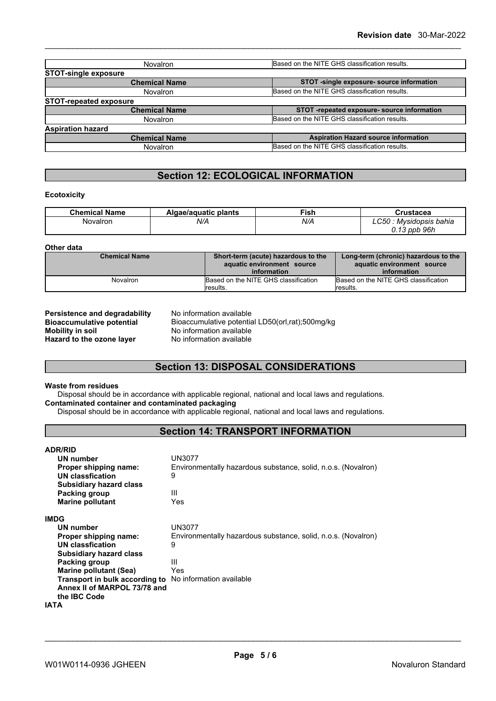| Novalron                      | Based on the NITE GHS classification results. |
|-------------------------------|-----------------------------------------------|
| <b>STOT-single exposure</b>   |                                               |
| <b>Chemical Name</b>          | STOT -single exposure- source information     |
| <b>Novalron</b>               | Based on the NITE GHS classification results. |
| <b>STOT-repeated exposure</b> |                                               |
| <b>Chemical Name</b>          | STOT -repeated exposure- source information   |
| Novalron                      | Based on the NITE GHS classification results. |
| <b>Aspiration hazard</b>      |                                               |
| <b>Chemical Name</b>          | <b>Aspiration Hazard source information</b>   |
| Novalron                      | Based on the NITE GHS classification results. |

# **Section 12: ECOLOGICAL INFORMATION**

#### **Ecotoxicity**

| <b>Chemical Name</b> | Algae/aquatic plants | <b>Fish</b> | Crustacea                                     |
|----------------------|----------------------|-------------|-----------------------------------------------|
| Novalron             | N/A                  | N/A         | <b>LC50</b><br><sup>.</sup> Mysidopsis bahia  |
|                      |                      |             | ppb 96h<br>$\overline{\phantom{a}}$<br>v. 1 v |

#### **Other data**

| <b>Chemical Name</b> | Short-term (acute) hazardous to the<br>aquatic environment source<br>information | Long-term (chronic) hazardous to the<br>aquatic environment source<br>information |
|----------------------|----------------------------------------------------------------------------------|-----------------------------------------------------------------------------------|
| Novalron             | Based on the NITE GHS classification                                             | Based on the NITE GHS classification                                              |
|                      | lresults.                                                                        | <i><b>Iresults.</b></i>                                                           |

**Persistence and degradability** No information available **Mobility in soil**<br> **Hazard to the ozone layer** Mo information available<br>
No information available **Hazard** to the ozone layer

**Bioaccumulative potential** Bioaccumulative potential LD50(orl,rat);500mg/kg

# **Section 13: DISPOSAL CONSIDERATIONS**

### **Waste from residues**

Disposal should be in accordance with applicable regional, national and local laws and regulations. **Contaminated container and contaminated packaging**

Disposal should be in accordance with applicable regional, national and local laws and regulations.

# **Section 14: TRANSPORT INFORMATION**

| <b>ADR/RID</b>                 |                                                               |
|--------------------------------|---------------------------------------------------------------|
| UN number                      | UN3077                                                        |
| Proper shipping name:          | Environmentally hazardous substance, solid, n.o.s. (Novalron) |
| UN classfication               | 9                                                             |
| <b>Subsidiary hazard class</b> |                                                               |
| Packing group                  | Ш                                                             |
| <b>Marine pollutant</b>        | Yes                                                           |
| <b>IMDG</b>                    |                                                               |
| UN number                      | UN3077                                                        |
| Proper shipping name:          | Environmentally hazardous substance, solid, n.o.s. (Novalron) |
| UN classfication               | 9                                                             |
| <b>Subsidiary hazard class</b> |                                                               |
| Packing group                  | Ш                                                             |
| <b>Marine pollutant (Sea)</b>  | Yes                                                           |
| Transport in bulk according to | No information available                                      |
| Annex II of MARPOL 73/78 and   |                                                               |
| the IBC Code                   |                                                               |
| IATA                           |                                                               |